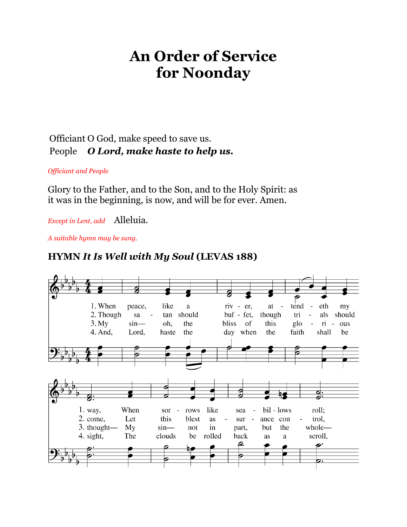# **An Order of Service for Noonday**

# Officiant O God, make speed to save us. People *O Lord, make haste to help us.*

*Officiant and People*

Glory to the Father, and to the Son, and to the Holy Spirit: as it was in the beginning, is now, and will be for ever. Amen.

*Except in Lent, add* Alleluia.

*A suitable hymn may be sung.*

## **HYMN** *It Is Well with My Soul* **(LEVAS 188)**

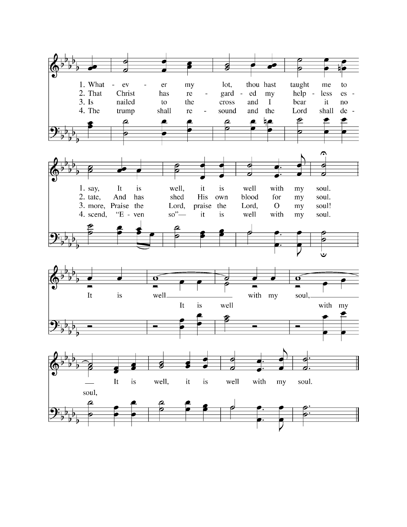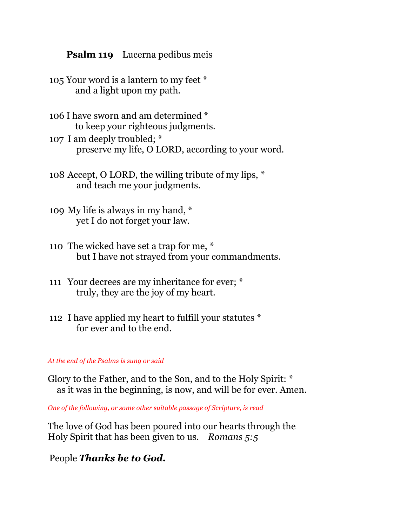## **Psalm 119** Lucerna pedibus meis

- 105 Your word is a lantern to my feet \* and a light upon my path.
- 106 I have sworn and am determined \* to keep your righteous judgments.
- 107 I am deeply troubled; \* preserve my life, O LORD, according to your word.
- 108 Accept, O LORD, the willing tribute of my lips, \* and teach me your judgments.
- 109 My life is always in my hand, \* yet I do not forget your law.
- 110 The wicked have set a trap for me, \* but I have not strayed from your commandments.
- 111 Your decrees are my inheritance for ever; \* truly, they are the joy of my heart.
- 112 I have applied my heart to fulfill your statutes \* for ever and to the end.

### *At the end of the Psalms is sung or said*

Glory to the Father, and to the Son, and to the Holy Spirit: \* as it was in the beginning, is now, and will be for ever. Amen.

*One of the following, or some other suitable passage of Scripture, is read*

The love of God has been poured into our hearts through the Holy Spirit that has been given to us. *Romans 5:5*

People *Thanks be to God.*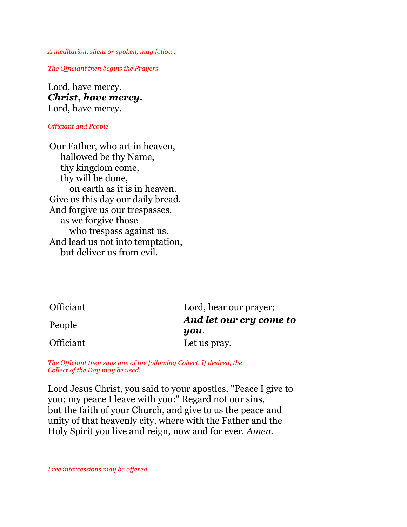*A meditation, silent or spoken, may follow.*

*The Officiant then begins the Prayers*

Lord, have mercy. *Christ, have mercy.* Lord, have mercy.

#### *Officiant and People*

Our Father, who art in heaven, hallowed be thy Name, thy kingdom come, thy will be done, on earth as it is in heaven. Give us this day our daily bread. And forgive us our trespasses, as we forgive those who trespass against us. And lead us not into temptation, but deliver us from evil.

| Officiant | Lord, hear our prayer;          |
|-----------|---------------------------------|
| People    | And let our cry come to<br>you. |
| Officiant | Let us pray.                    |

*The Officiant then says one of the following Collect. If desired, the Collect of the Day may be used.*

Lord Jesus Christ, you said to your apostles, "Peace I give to you; my peace I leave with you:" Regard not our sins, but the faith of your Church, and give to us the peace and unity of that heavenly city, where with the Father and the Holy Spirit you live and reign, now and for ever. *Amen.*